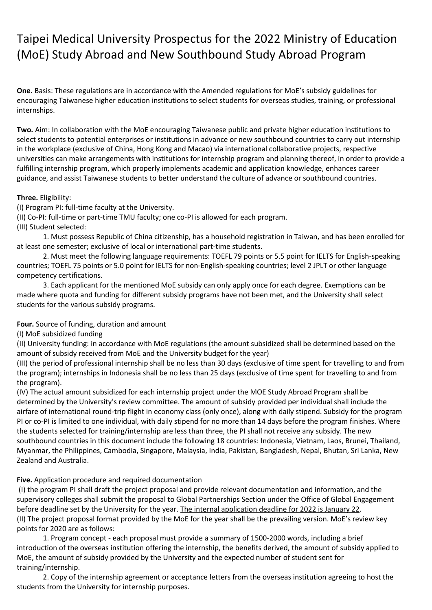# Taipei Medical University Prospectus for the 2022 Ministry of Education (MoE) Study Abroad and New Southbound Study Abroad Program

**One.** Basis: These regulations are in accordance with the Amended regulations for MoE's subsidy guidelines for encouraging Taiwanese higher education institutions to select students for overseas studies, training, or professional internships.

**Two.** Aim: In collaboration with the MoE encouraging Taiwanese public and private higher education institutions to select students to potential enterprises or institutions in advance or new southbound countries to carry out internship in the workplace (exclusive of China, Hong Kong and Macao) via international collaborative projects, respective universities can make arrangements with institutions for internship program and planning thereof, in order to provide a fulfilling internship program, which properly implements academic and application knowledge, enhances career guidance, and assist Taiwanese students to better understand the culture of advance or southbound countries.

# **Three.** Eligibility:

(I) Program PI: full-time faculty at the University.

(II) Co-PI: full-time or part-time TMU faculty; one co-PI is allowed for each program.

(III) Student selected:

1. Must possess Republic of China citizenship, has a household registration in Taiwan, and has been enrolled for at least one semester; exclusive of local or international part-time students.

2. Must meet the following language requirements: TOEFL 79 points or 5.5 point for IELTS for English-speaking countries; TOEFL 75 points or 5.0 point for IELTS for non-English-speaking countries; level 2 JPLT or other language competency certifications.

3. Each applicant for the mentioned MoE subsidy can only apply once for each degree. Exemptions can be made where quota and funding for different subsidy programs have not been met, and the University shall select students for the various subsidy programs.

# **Four.** Source of funding, duration and amount

(I) MoE subsidized funding

(II) University funding: in accordance with MoE regulations (the amount subsidized shall be determined based on the amount of subsidy received from MoE and the University budget for the year)

(III) the period of professional internship shall be no less than 30 days (exclusive of time spent for travelling to and from the program); internships in Indonesia shall be no less than 25 days (exclusive of time spent for travelling to and from the program).

(IV) The actual amount subsidized for each internship project under the MOE Study Abroad Program shall be determined by the University's review committee. The amount of subsidy provided per individual shall include the airfare of international round-trip flight in economy class (only once), along with daily stipend. Subsidy for the program PI or co-PI is limited to one individual, with daily stipend for no more than 14 days before the program finishes. Where the students selected for training/internship are less than three, the PI shall not receive any subsidy. The new southbound countries in this document include the following 18 countries: Indonesia, Vietnam, Laos, Brunei, Thailand, Myanmar, the Philippines, Cambodia, Singapore, Malaysia, India, Pakistan, Bangladesh, Nepal, Bhutan, Sri Lanka, New Zealand and Australia.

# **Five.** Application procedure and required documentation

(I) the program PI shall draft the project proposal and provide relevant documentation and information, and the supervisory colleges shall submit the proposal to Global Partnerships Section under the Office of Global Engagement before deadline set by the University for the year. The internal application deadline for 2022 is January 22. (II) The project proposal format provided by the MoE for the year shall be the prevailing version. MoE's review key points for 2020 are as follows:

1. Program concept - each proposal must provide a summary of 1500-2000 words, including a brief introduction of the overseas institution offering the internship, the benefits derived, the amount of subsidy applied to MoE, the amount of subsidy provided by the University and the expected number of student sent for training/internship.

2. Copy of the internship agreement or acceptance letters from the overseas institution agreeing to host the students from the University for internship purposes.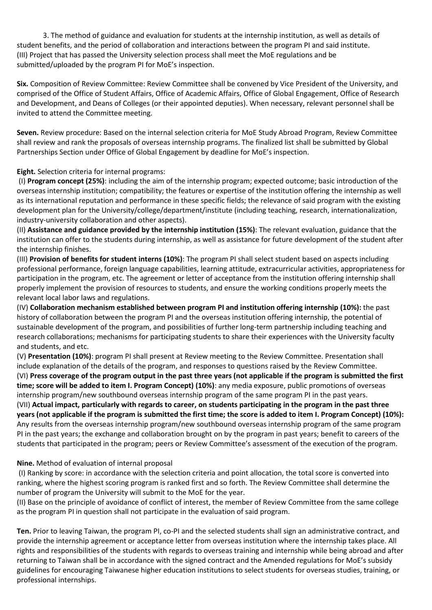3. The method of guidance and evaluation for students at the internship institution, as well as details of student benefits, and the period of collaboration and interactions between the program PI and said institute. (III) Project that has passed the University selection process shall meet the MoE regulations and be submitted/uploaded by the program PI for MoE's inspection.

**Six.** Composition of Review Committee: Review Committee shall be convened by Vice President of the University, and comprised of the Office of Student Affairs, Office of Academic Affairs, Office of Global Engagement, Office of Research and Development, and Deans of Colleges (or their appointed deputies). When necessary, relevant personnel shall be invited to attend the Committee meeting.

**Seven.** Review procedure: Based on the internal selection criteria for MoE Study Abroad Program, Review Committee shall review and rank the proposals of overseas internship programs. The finalized list shall be submitted by Global Partnerships Section under Office of Global Engagement by deadline for MoE's inspection.

**Eight.** Selection criteria for internal programs:

(I) **Program concept (25%)**: including the aim of the internship program; expected outcome; basic introduction of the overseas internship institution; compatibility; the features or expertise of the institution offering the internship as well as its international reputation and performance in these specific fields; the relevance of said program with the existing development plan for the University/college/department/institute (including teaching, research, internationalization, industry-university collaboration and other aspects).

(II) **Assistance and guidance provided by the internship institution (15%)**: The relevant evaluation, guidance that the institution can offer to the students during internship, as well as assistance for future development of the student after the internship finishes.

(III) **Provision of benefits for student interns (10%)**: The program PI shall select student based on aspects including professional performance, foreign language capabilities, learning attitude, extracurricular activities, appropriateness for participation in the program, etc. The agreement or letter of acceptance from the institution offering internship shall properly implement the provision of resources to students, and ensure the working conditions properly meets the relevant local labor laws and regulations.

(IV) **Collaboration mechanism established between program PI and institution offering internship (10%):** the past history of collaboration between the program PI and the overseas institution offering internship, the potential of sustainable development of the program, and possibilities of further long-term partnership including teaching and research collaborations; mechanisms for participating students to share their experiences with the University faculty and students, and etc.

(V) **Presentation (10%)**: program PI shall present at Review meeting to the Review Committee. Presentation shall include explanation of the details of the program, and responses to questions raised by the Review Committee. (VI) **Press coverage of the program output in the past three years (not applicable if the program is submitted the first time; score will be added to item I. Program Concept) (10%)**: any media exposure, public promotions of overseas internship program/new southbound overseas internship program of the same program PI in the past years. (VII) **Actual impact, particularly with regards to career, on students participating in the program in the past three years (not applicable if the program is submitted the first time; the score is added to item I. Program Concept) (10%):** Any results from the overseas internship program/new southbound overseas internship program of the same program PI in the past years; the exchange and collaboration brought on by the program in past years; benefit to careers of the students that participated in the program; peers or Review Committee's assessment of the execution of the program.

# **Nine.** Method of evaluation of internal proposal

(I) Ranking by score: in accordance with the selection criteria and point allocation, the total score is converted into ranking, where the highest scoring program is ranked first and so forth. The Review Committee shall determine the number of program the University will submit to the MoE for the year.

(II) Base on the principle of avoidance of conflict of interest, the member of Review Committee from the same college as the program PI in question shall not participate in the evaluation of said program.

**Ten.** Prior to leaving Taiwan, the program PI, co-PI and the selected students shall sign an administrative contract, and provide the internship agreement or acceptance letter from overseas institution where the internship takes place. All rights and responsibilities of the students with regards to overseas training and internship while being abroad and after returning to Taiwan shall be in accordance with the signed contract and the Amended regulations for MoE's subsidy guidelines for encouraging Taiwanese higher education institutions to select students for overseas studies, training, or professional internships.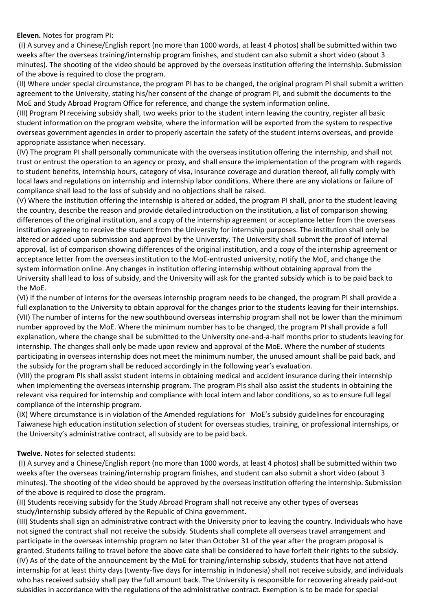### **Eleven.** Notes for program PI:

(I) A survey and a Chinese/English report (no more than 1000 words, at least 4 photos) shall be submitted within two weeks after the overseas training/internship program finishes, and student can also submit a short video (about 3 minutes). The shooting of the video should be approved by the overseas institution offering the internship. Submission of the above is required to close the program.

(II) Where under special circumstance, the program PI has to be changed, the original program PI shall submit a written agreement to the University, stating his/her consent of the change of program PI, and submit the documents to the MoE and Study Abroad Program Office for reference, and change the system information online.

(III) Program PI receiving subsidy shall, two weeks prior to the student intern leaving the country, register all basic student information on the program website, where the information will be exported from the system to respective overseas government agencies in order to properly ascertain the safety of the student interns overseas, and provide appropriate assistance when necessary.

(IV) The program PI shall personally communicate with the overseas institution offering the internship, and shall not trust or entrust the operation to an agency or proxy, and shall ensure the implementation of the program with regards to student benefits, internship hours, category of visa, insurance coverage and duration thereof, all fully comply with local laws and regulations on internship and internship labor conditions. Where there are any violations or failure of compliance shall lead to the loss of subsidy and no objections shall be raised.

(V) Where the institution offering the internship is altered or added, the program PI shall, prior to the student leaving the country, describe the reason and provide detailed introduction on the institution, a list of comparison showing differences of the original institution, and a copy of the internship agreement or acceptance letter from the overseas institution agreeing to receive the student from the University for internship purposes. The institution shall only be altered or added upon submission and approval by the University. The University shall submit the proof of internal approval, list of comparison showing differences of the original institution, and a copy of the internship agreement or acceptance letter from the overseas institution to the MoE-entrusted university, notify the MoE, and change the system information online. Any changes in institution offering internship without obtaining approval from the University shall lead to loss of subsidy, and the University will ask for the granted subsidy which is to be paid back to the MoE.

(VI) If the number of interns for the overseas internship program needs to be changed, the program PI shall provide a full explanation to the University to obtain approval for the changes prior to the students leaving for their internships. (VII) The number of interns for the new southbound overseas internship program shall not be lower than the minimum number approved by the MoE. Where the minimum number has to be changed, the program PI shall provide a full explanation, where the change shall be submitted to the University one-and-a-half months prior to students leaving for internship. The changes shall only be made upon review and approval of the MoE. Where the number of students participating in overseas internship does not meet the minimum number, the unused amount shall be paid back, and the subsidy for the program shall be reduced accordingly in the following year's evaluation.

(VIII) the program PIs shall assist student interns in obtaining medical and accident insurance during their internship when implementing the overseas internship program. The program PIs shall also assist the students in obtaining the relevant visa required for internship and compliance with local intern and labor conditions, so as to ensure full legal compliance of the internship program.

(IX) Where circumstance is in violation of the Amended regulations for MoE's subsidy guidelines for encouraging Taiwanese high education institution selection of student for overseas studies, training, or professional internships, or the University's administrative contract, all subsidy are to be paid back.

### **Twelve.** Notes for selected students:

(I) A survey and a Chinese/English report (no more than 1000 words, at least 4 photos) shall be submitted within two weeks after the overseas training/internship program finishes, and student can also submit a short video (about 3 minutes). The shooting of the video should be approved by the overseas institution offering the internship. Submission of the above is required to close the program.

(II) Students receiving subsidy for the Study Abroad Program shall not receive any other types of overseas study/internship subsidy offered by the Republic of China government.

(III) Students shall sign an administrative contract with the University prior to leaving the country. Individuals who have not signed the contract shall not receive the subsidy. Students shall complete all overseas travel arrangement and participate in the overseas internship program no later than October 31 of the year after the program proposal is granted. Students failing to travel before the above date shall be considered to have forfeit their rights to the subsidy. (IV) As of the date of the announcement by the MoE for training/internship subsidy, students that have not attend internship for at least thirty days (twenty-five days for internship in Indonesia) shall not receive subsidy, and individuals who has received subsidy shall pay the full amount back. The University is responsible for recovering already paid-out subsidies in accordance with the regulations of the administrative contract. Exemption is to be made for special